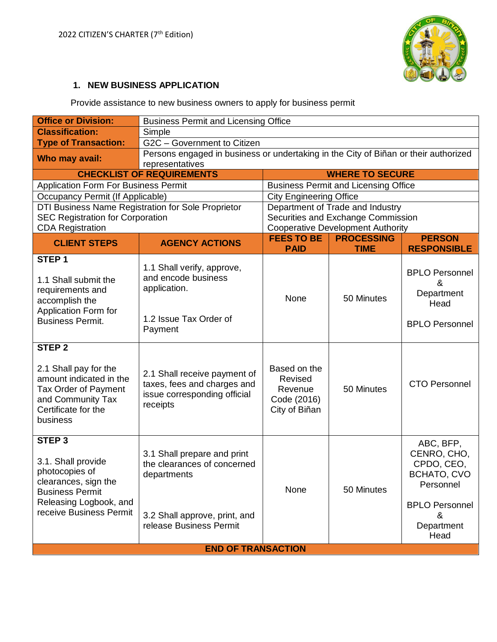

### **1. NEW BUSINESS APPLICATION**

Provide assistance to new business owners to apply for business permit

| <b>Office or Division:</b>                                                                                                                                                                                                                                                              | <b>Business Permit and Licensing Office</b>                                                                                                                                                                       |                                                                                     |                                                               |                                                                                                                        |  |  |
|-----------------------------------------------------------------------------------------------------------------------------------------------------------------------------------------------------------------------------------------------------------------------------------------|-------------------------------------------------------------------------------------------------------------------------------------------------------------------------------------------------------------------|-------------------------------------------------------------------------------------|---------------------------------------------------------------|------------------------------------------------------------------------------------------------------------------------|--|--|
| <b>Classification:</b>                                                                                                                                                                                                                                                                  | Simple                                                                                                                                                                                                            |                                                                                     |                                                               |                                                                                                                        |  |  |
| <b>Type of Transaction:</b>                                                                                                                                                                                                                                                             | G2C - Government to Citizen                                                                                                                                                                                       |                                                                                     |                                                               |                                                                                                                        |  |  |
| Who may avail:                                                                                                                                                                                                                                                                          | representatives                                                                                                                                                                                                   | Persons engaged in business or undertaking in the City of Biñan or their authorized |                                                               |                                                                                                                        |  |  |
|                                                                                                                                                                                                                                                                                         | <b>CHECKLIST OF REQUIREMENTS</b>                                                                                                                                                                                  | <b>WHERE TO SECURE</b>                                                              |                                                               |                                                                                                                        |  |  |
| <b>Application Form For Business Permit</b>                                                                                                                                                                                                                                             |                                                                                                                                                                                                                   |                                                                                     | <b>Business Permit and Licensing Office</b>                   |                                                                                                                        |  |  |
| Occupancy Permit (If Applicable)                                                                                                                                                                                                                                                        |                                                                                                                                                                                                                   | <b>City Engineering Office</b>                                                      |                                                               |                                                                                                                        |  |  |
|                                                                                                                                                                                                                                                                                         | DTI Business Name Registration for Sole Proprietor                                                                                                                                                                |                                                                                     | Department of Trade and Industry                              |                                                                                                                        |  |  |
| <b>SEC Registration for Corporation</b>                                                                                                                                                                                                                                                 |                                                                                                                                                                                                                   |                                                                                     | Securities and Exchange Commission                            |                                                                                                                        |  |  |
| <b>CDA Registration</b>                                                                                                                                                                                                                                                                 |                                                                                                                                                                                                                   | <b>FEES TO BE</b>                                                                   | <b>Cooperative Development Authority</b><br><b>PROCESSING</b> |                                                                                                                        |  |  |
| <b>CLIENT STEPS</b>                                                                                                                                                                                                                                                                     | <b>AGENCY ACTIONS</b>                                                                                                                                                                                             | <b>PAID</b>                                                                         | <b>TIME</b>                                                   | <b>PERSON</b><br><b>RESPONSIBLE</b>                                                                                    |  |  |
| STEP <sub>1</sub><br>1.1 Shall submit the<br>requirements and<br>accomplish the<br>Application Form for<br><b>Business Permit.</b><br><b>STEP 2</b><br>2.1 Shall pay for the<br>amount indicated in the<br>Tax Order of Payment<br>and Community Tax<br>Certificate for the<br>business | 1.1 Shall verify, approve,<br>and encode business<br>application.<br>1.2 Issue Tax Order of<br>Payment<br>2.1 Shall receive payment of<br>taxes, fees and charges and<br>issue corresponding official<br>receipts | None<br>Based on the<br>Revised<br>Revenue<br>Code (2016)<br>City of Biñan          | 50 Minutes<br>50 Minutes                                      | <b>BPLO Personnel</b><br>&<br>Department<br>Head<br><b>BPLO Personnel</b><br><b>CTO Personnel</b>                      |  |  |
| STEP <sub>3</sub><br>3.1. Shall provide<br>photocopies of<br>clearances, sign the<br><b>Business Permit</b><br>Releasing Logbook, and<br>receive Business Permit                                                                                                                        | 3.1 Shall prepare and print<br>the clearances of concerned<br>departments<br>3.2 Shall approve, print, and<br>release Business Permit                                                                             | None                                                                                | 50 Minutes                                                    | ABC, BFP,<br>CENRO, CHO,<br>CPDO, CEO,<br>BCHATO, CVO<br>Personnel<br><b>BPLO Personnel</b><br>&<br>Department<br>Head |  |  |
| <b>END OF TRANSACTION</b>                                                                                                                                                                                                                                                               |                                                                                                                                                                                                                   |                                                                                     |                                                               |                                                                                                                        |  |  |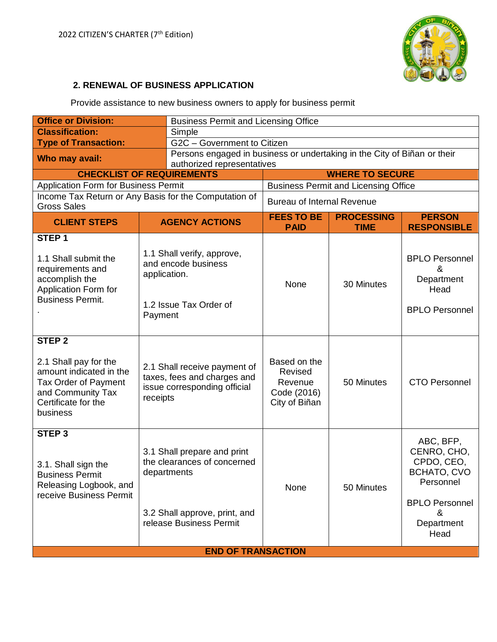

### **2. RENEWAL OF BUSINESS APPLICATION**

Provide assistance to new business owners to apply for business permit

| <b>Office or Division:</b>                                                                                                                            |                                                                                                                                       | <b>Business Permit and Licensing Office</b>                              |                                                                    |                                             |                                                                                                                        |  |
|-------------------------------------------------------------------------------------------------------------------------------------------------------|---------------------------------------------------------------------------------------------------------------------------------------|--------------------------------------------------------------------------|--------------------------------------------------------------------|---------------------------------------------|------------------------------------------------------------------------------------------------------------------------|--|
| <b>Classification:</b>                                                                                                                                |                                                                                                                                       | Simple                                                                   |                                                                    |                                             |                                                                                                                        |  |
| <b>Type of Transaction:</b>                                                                                                                           |                                                                                                                                       | G2C - Government to Citizen                                              |                                                                    |                                             |                                                                                                                        |  |
| Who may avail:<br>authorized representatives                                                                                                          |                                                                                                                                       | Persons engaged in business or undertaking in the City of Biñan or their |                                                                    |                                             |                                                                                                                        |  |
| <b>CHECKLIST OF REQUIREMENTS</b>                                                                                                                      |                                                                                                                                       |                                                                          | <b>WHERE TO SECURE</b>                                             |                                             |                                                                                                                        |  |
| <b>Application Form for Business Permit</b>                                                                                                           |                                                                                                                                       |                                                                          |                                                                    | <b>Business Permit and Licensing Office</b> |                                                                                                                        |  |
| Income Tax Return or Any Basis for the Computation of<br><b>Gross Sales</b>                                                                           |                                                                                                                                       |                                                                          | <b>Bureau of Internal Revenue</b>                                  |                                             |                                                                                                                        |  |
| <b>CLIENT STEPS</b>                                                                                                                                   |                                                                                                                                       | <b>AGENCY ACTIONS</b>                                                    | <b>FEES TO BE</b><br><b>PAID</b>                                   | <b>PROCESSING</b><br><b>TIME</b>            | <b>PERSON</b><br><b>RESPONSIBLE</b>                                                                                    |  |
| STEP <sub>1</sub><br>1.1 Shall submit the<br>requirements and<br>accomplish the<br>Application Form for<br><b>Business Permit.</b>                    | 1.1 Shall verify, approve,<br>and encode business<br>application.<br>1.2 Issue Tax Order of<br>Payment                                |                                                                          | None                                                               | 30 Minutes                                  | <b>BPLO Personnel</b><br>&<br>Department<br>Head<br><b>BPLO Personnel</b>                                              |  |
| STEP <sub>2</sub><br>2.1 Shall pay for the<br>amount indicated in the<br>Tax Order of Payment<br>and Community Tax<br>Certificate for the<br>business | 2.1 Shall receive payment of<br>taxes, fees and charges and<br>issue corresponding official<br>receipts                               |                                                                          | Based on the<br>Revised<br>Revenue<br>Code (2016)<br>City of Biñan | 50 Minutes                                  | <b>CTO Personnel</b>                                                                                                   |  |
| STEP <sub>3</sub><br>3.1. Shall sign the<br><b>Business Permit</b><br>Releasing Logbook, and<br>receive Business Permit                               | 3.1 Shall prepare and print<br>the clearances of concerned<br>departments<br>3.2 Shall approve, print, and<br>release Business Permit |                                                                          | None                                                               | 50 Minutes                                  | ABC, BFP,<br>CENRO, CHO,<br>CPDO, CEO,<br>BCHATO, CVO<br>Personnel<br><b>BPLO Personnel</b><br>&<br>Department<br>Head |  |
|                                                                                                                                                       |                                                                                                                                       | <b>END OF TRANSACTION</b>                                                |                                                                    |                                             |                                                                                                                        |  |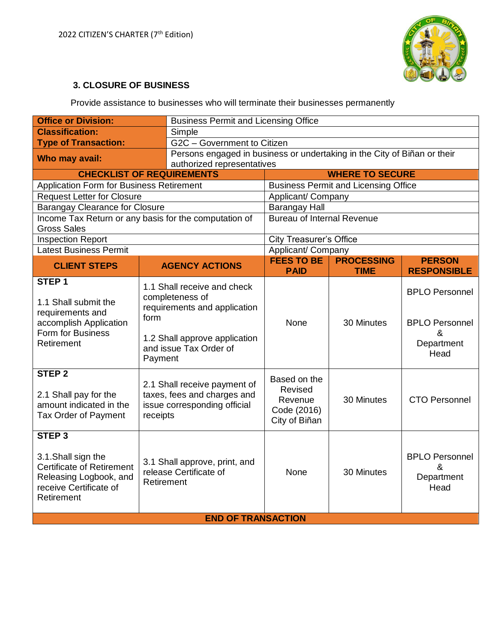

# **3. CLOSURE OF BUSINESS**

Provide assistance to businesses who will terminate their businesses permanently

| <b>Office or Division:</b>                                                                                                                     | <b>Business Permit and Licensing Office</b>                                                                                                                  |                            |                                                                          |                                  |                                                                           |  |
|------------------------------------------------------------------------------------------------------------------------------------------------|--------------------------------------------------------------------------------------------------------------------------------------------------------------|----------------------------|--------------------------------------------------------------------------|----------------------------------|---------------------------------------------------------------------------|--|
| <b>Classification:</b>                                                                                                                         |                                                                                                                                                              | Simple                     |                                                                          |                                  |                                                                           |  |
| G2C - Government to Citizen<br><b>Type of Transaction:</b>                                                                                     |                                                                                                                                                              |                            |                                                                          |                                  |                                                                           |  |
| Who may avail:                                                                                                                                 |                                                                                                                                                              |                            | Persons engaged in business or undertaking in the City of Biñan or their |                                  |                                                                           |  |
|                                                                                                                                                |                                                                                                                                                              | authorized representatives |                                                                          |                                  |                                                                           |  |
| <b>CHECKLIST OF REQUIREMENTS</b>                                                                                                               |                                                                                                                                                              |                            | <b>WHERE TO SECURE</b>                                                   |                                  |                                                                           |  |
| <b>Application Form for Business Retirement</b>                                                                                                |                                                                                                                                                              |                            | <b>Business Permit and Licensing Office</b>                              |                                  |                                                                           |  |
| <b>Request Letter for Closure</b>                                                                                                              |                                                                                                                                                              |                            | Applicant/ Company                                                       |                                  |                                                                           |  |
| <b>Barangay Clearance for Closure</b>                                                                                                          |                                                                                                                                                              |                            | <b>Barangay Hall</b>                                                     |                                  |                                                                           |  |
| Income Tax Return or any basis for the computation of<br><b>Gross Sales</b>                                                                    |                                                                                                                                                              |                            | <b>Bureau of Internal Revenue</b>                                        |                                  |                                                                           |  |
| <b>Inspection Report</b>                                                                                                                       |                                                                                                                                                              |                            | <b>City Treasurer's Office</b>                                           |                                  |                                                                           |  |
| <b>Latest Business Permit</b>                                                                                                                  |                                                                                                                                                              |                            | Applicant/ Company                                                       |                                  |                                                                           |  |
| <b>CLIENT STEPS</b>                                                                                                                            |                                                                                                                                                              | <b>AGENCY ACTIONS</b>      | <b>FEES TO BE</b><br><b>PAID</b>                                         | <b>PROCESSING</b><br><b>TIME</b> | <b>PERSON</b><br><b>RESPONSIBLE</b>                                       |  |
| STEP <sub>1</sub>                                                                                                                              |                                                                                                                                                              |                            |                                                                          |                                  |                                                                           |  |
| 1.1 Shall submit the<br>requirements and<br>accomplish Application<br>Form for Business<br>Retirement                                          | 1.1 Shall receive and check<br>completeness of<br>requirements and application<br>form<br>1.2 Shall approve application<br>and issue Tax Order of<br>Payment |                            | None                                                                     | 30 Minutes                       | <b>BPLO Personnel</b><br><b>BPLO Personnel</b><br>&<br>Department<br>Head |  |
| <b>STEP 2</b><br>2.1 Shall pay for the<br>amount indicated in the<br>Tax Order of Payment                                                      | 2.1 Shall receive payment of<br>taxes, fees and charges and<br>issue corresponding official<br>receipts                                                      |                            | Based on the<br>Revised<br>Revenue<br>Code (2016)<br>City of Biñan       | 30 Minutes                       | <b>CTO Personnel</b>                                                      |  |
| STEP <sub>3</sub><br>3.1. Shall sign the<br><b>Certificate of Retirement</b><br>Releasing Logbook, and<br>receive Certificate of<br>Retirement | 3.1 Shall approve, print, and<br>release Certificate of<br>Retirement                                                                                        |                            | <b>None</b>                                                              | 30 Minutes                       | <b>BPLO Personnel</b><br>&<br>Department<br>Head                          |  |
| <b>END OF TRANSACTION</b>                                                                                                                      |                                                                                                                                                              |                            |                                                                          |                                  |                                                                           |  |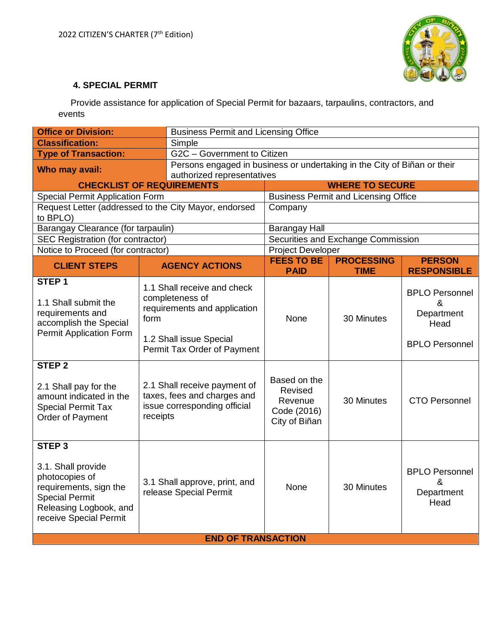

### **4. SPECIAL PERMIT**

 Provide assistance for application of Special Permit for bazaars, tarpaulins, contractors, and events

| <b>Office or Division:</b><br><b>Business Permit and Licensing Office</b>                                                                                                                                                                       |                                                         |                                                                                                                                                                                                                                         |                                                                            |                                             |                                                                                                   |  |  |
|-------------------------------------------------------------------------------------------------------------------------------------------------------------------------------------------------------------------------------------------------|---------------------------------------------------------|-----------------------------------------------------------------------------------------------------------------------------------------------------------------------------------------------------------------------------------------|----------------------------------------------------------------------------|---------------------------------------------|---------------------------------------------------------------------------------------------------|--|--|
| <b>Classification:</b>                                                                                                                                                                                                                          |                                                         | Simple                                                                                                                                                                                                                                  |                                                                            |                                             |                                                                                                   |  |  |
| G2C - Government to Citizen<br><b>Type of Transaction:</b>                                                                                                                                                                                      |                                                         |                                                                                                                                                                                                                                         |                                                                            |                                             |                                                                                                   |  |  |
| Who may avail:                                                                                                                                                                                                                                  |                                                         | Persons engaged in business or undertaking in the City of Biñan or their                                                                                                                                                                |                                                                            |                                             |                                                                                                   |  |  |
|                                                                                                                                                                                                                                                 |                                                         | authorized representatives                                                                                                                                                                                                              |                                                                            |                                             |                                                                                                   |  |  |
| <b>CHECKLIST OF REQUIREMENTS</b>                                                                                                                                                                                                                |                                                         |                                                                                                                                                                                                                                         | <b>WHERE TO SECURE</b>                                                     |                                             |                                                                                                   |  |  |
| <b>Special Permit Application Form</b>                                                                                                                                                                                                          |                                                         |                                                                                                                                                                                                                                         |                                                                            | <b>Business Permit and Licensing Office</b> |                                                                                                   |  |  |
| Request Letter (addressed to the City Mayor, endorsed<br>to BPLO)                                                                                                                                                                               |                                                         |                                                                                                                                                                                                                                         | Company                                                                    |                                             |                                                                                                   |  |  |
| Barangay Clearance (for tarpaulin)                                                                                                                                                                                                              |                                                         |                                                                                                                                                                                                                                         | <b>Barangay Hall</b>                                                       |                                             |                                                                                                   |  |  |
| <b>SEC Registration (for contractor)</b>                                                                                                                                                                                                        |                                                         |                                                                                                                                                                                                                                         |                                                                            | Securities and Exchange Commission          |                                                                                                   |  |  |
| Notice to Proceed (for contractor)                                                                                                                                                                                                              |                                                         |                                                                                                                                                                                                                                         | <b>Project Developer</b>                                                   |                                             |                                                                                                   |  |  |
| <b>CLIENT STEPS</b>                                                                                                                                                                                                                             |                                                         | <b>AGENCY ACTIONS</b>                                                                                                                                                                                                                   | <b>FEES TO BE</b><br><b>PAID</b>                                           | <b>PROCESSING</b><br><b>TIME</b>            | <b>PERSON</b><br><b>RESPONSIBLE</b>                                                               |  |  |
| STEP <sub>1</sub><br>1.1 Shall submit the<br>requirements and<br>accomplish the Special<br><b>Permit Application Form</b><br><b>STEP 2</b><br>2.1 Shall pay for the<br>amount indicated in the<br><b>Special Permit Tax</b><br>Order of Payment | form<br>receipts                                        | 1.1 Shall receive and check<br>completeness of<br>requirements and application<br>1.2 Shall issue Special<br>Permit Tax Order of Payment<br>2.1 Shall receive payment of<br>taxes, fees and charges and<br>issue corresponding official | None<br>Based on the<br>Revised<br>Revenue<br>Code (2016)<br>City of Biñan | 30 Minutes<br>30 Minutes                    | <b>BPLO Personnel</b><br>&<br>Department<br>Head<br><b>BPLO Personnel</b><br><b>CTO Personnel</b> |  |  |
| STEP <sub>3</sub><br>3.1. Shall provide<br>photocopies of<br>requirements, sign the<br><b>Special Permit</b><br>Releasing Logbook, and<br>receive Special Permit                                                                                | 3.1 Shall approve, print, and<br>release Special Permit |                                                                                                                                                                                                                                         | None                                                                       | 30 Minutes                                  | <b>BPLO Personnel</b><br>&<br>Department<br>Head                                                  |  |  |
| <b>END OF TRANSACTION</b>                                                                                                                                                                                                                       |                                                         |                                                                                                                                                                                                                                         |                                                                            |                                             |                                                                                                   |  |  |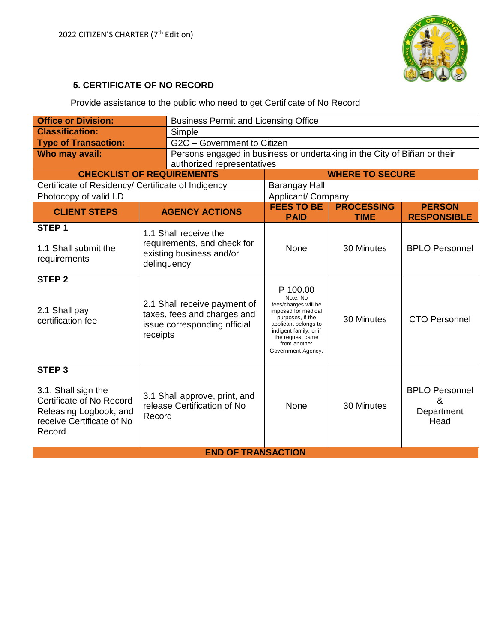

# **5. CERTIFICATE OF NO RECORD**

Provide assistance to the public who need to get Certificate of No Record

| <b>Business Permit and Licensing Office</b><br><b>Office or Division:</b>                                                             |                                                                                                         |                                                                                                 |                                                                                                                                                                                                     |                                  |                                                  |  |
|---------------------------------------------------------------------------------------------------------------------------------------|---------------------------------------------------------------------------------------------------------|-------------------------------------------------------------------------------------------------|-----------------------------------------------------------------------------------------------------------------------------------------------------------------------------------------------------|----------------------------------|--------------------------------------------------|--|
| <b>Classification:</b>                                                                                                                |                                                                                                         | Simple                                                                                          |                                                                                                                                                                                                     |                                  |                                                  |  |
| <b>Type of Transaction:</b>                                                                                                           |                                                                                                         | G2C - Government to Citizen                                                                     |                                                                                                                                                                                                     |                                  |                                                  |  |
| Who may avail:                                                                                                                        |                                                                                                         | Persons engaged in business or undertaking in the City of Biñan or their                        |                                                                                                                                                                                                     |                                  |                                                  |  |
|                                                                                                                                       |                                                                                                         | authorized representatives                                                                      |                                                                                                                                                                                                     |                                  |                                                  |  |
| <b>CHECKLIST OF REQUIREMENTS</b>                                                                                                      |                                                                                                         |                                                                                                 | <b>WHERE TO SECURE</b>                                                                                                                                                                              |                                  |                                                  |  |
| Certificate of Residency/ Certificate of Indigency                                                                                    |                                                                                                         |                                                                                                 | Barangay Hall                                                                                                                                                                                       |                                  |                                                  |  |
| Photocopy of valid I.D                                                                                                                |                                                                                                         |                                                                                                 | Applicant/ Company                                                                                                                                                                                  |                                  |                                                  |  |
| <b>CLIENT STEPS</b>                                                                                                                   |                                                                                                         | <b>AGENCY ACTIONS</b>                                                                           | <b>FEES TO BE</b><br><b>PAID</b>                                                                                                                                                                    | <b>PROCESSING</b><br><b>TIME</b> | <b>PERSON</b><br><b>RESPONSIBLE</b>              |  |
| STEP <sub>1</sub><br>1.1 Shall submit the<br>requirements                                                                             |                                                                                                         | 1.1 Shall receive the<br>requirements, and check for<br>existing business and/or<br>delinquency | None                                                                                                                                                                                                | 30 Minutes                       | <b>BPLO Personnel</b>                            |  |
| <b>STEP 2</b><br>2.1 Shall pay<br>certification fee                                                                                   | 2.1 Shall receive payment of<br>taxes, fees and charges and<br>issue corresponding official<br>receipts |                                                                                                 | P 100.00<br>Note: No<br>fees/charges will be<br>imposed for medical<br>purposes, if the<br>applicant belongs to<br>indigent family, or if<br>the request came<br>from another<br>Government Agency. | 30 Minutes                       | <b>CTO Personnel</b>                             |  |
| STEP <sub>3</sub><br>3.1. Shall sign the<br>Certificate of No Record<br>Releasing Logbook, and<br>receive Certificate of No<br>Record | 3.1 Shall approve, print, and<br>release Certification of No<br>Record                                  |                                                                                                 | None                                                                                                                                                                                                | 30 Minutes                       | <b>BPLO Personnel</b><br>&<br>Department<br>Head |  |
|                                                                                                                                       | <b>END OF TRANSACTION</b>                                                                               |                                                                                                 |                                                                                                                                                                                                     |                                  |                                                  |  |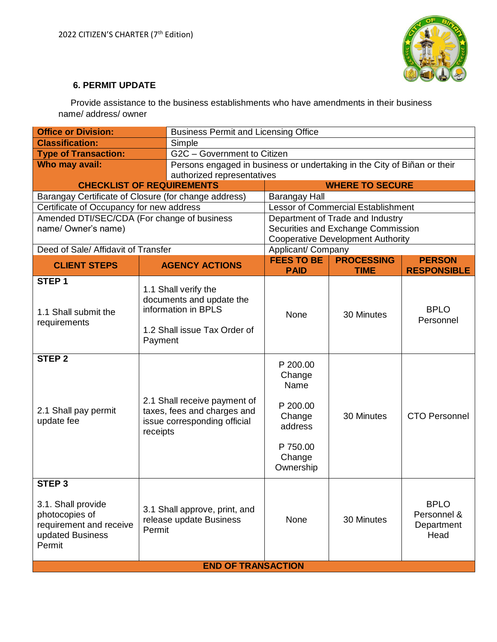

#### **6. PERMIT UPDATE**

 Provide assistance to the business establishments who have amendments in their business name/ address/ owner

| <b>Office or Division:</b><br><b>Business Permit and Licensing Office</b>                                          |                                                                    |                                                                                                         |                                                                                                |                                  |                                                  |  |
|--------------------------------------------------------------------------------------------------------------------|--------------------------------------------------------------------|---------------------------------------------------------------------------------------------------------|------------------------------------------------------------------------------------------------|----------------------------------|--------------------------------------------------|--|
| <b>Classification:</b>                                                                                             |                                                                    | Simple                                                                                                  |                                                                                                |                                  |                                                  |  |
| <b>Type of Transaction:</b>                                                                                        |                                                                    | G2C - Government to Citizen                                                                             |                                                                                                |                                  |                                                  |  |
| Who may avail:                                                                                                     |                                                                    |                                                                                                         | Persons engaged in business or undertaking in the City of Biñan or their                       |                                  |                                                  |  |
|                                                                                                                    |                                                                    | authorized representatives                                                                              |                                                                                                |                                  |                                                  |  |
| <b>CHECKLIST OF REQUIREMENTS</b>                                                                                   |                                                                    |                                                                                                         |                                                                                                | <b>WHERE TO SECURE</b>           |                                                  |  |
| Barangay Certificate of Closure (for change address)                                                               |                                                                    |                                                                                                         | <b>Barangay Hall</b>                                                                           |                                  |                                                  |  |
| Certificate of Occupancy for new address                                                                           |                                                                    |                                                                                                         | <b>Lessor of Commercial Establishment</b>                                                      |                                  |                                                  |  |
| Amended DTI/SEC/CDA (For change of business                                                                        |                                                                    |                                                                                                         | Department of Trade and Industry                                                               |                                  |                                                  |  |
| name/ Owner's name)                                                                                                |                                                                    |                                                                                                         | Securities and Exchange Commission                                                             |                                  |                                                  |  |
|                                                                                                                    |                                                                    |                                                                                                         | <b>Cooperative Development Authority</b>                                                       |                                  |                                                  |  |
| Deed of Sale/ Affidavit of Transfer                                                                                |                                                                    |                                                                                                         | Applicant/ Company                                                                             |                                  |                                                  |  |
| <b>CLIENT STEPS</b>                                                                                                |                                                                    | <b>AGENCY ACTIONS</b>                                                                                   | <b>FEES TO BE</b><br><b>PAID</b>                                                               | <b>PROCESSING</b><br><b>TIME</b> | <b>PERSON</b><br><b>RESPONSIBLE</b>              |  |
| STEP <sub>1</sub>                                                                                                  |                                                                    |                                                                                                         |                                                                                                |                                  |                                                  |  |
| 1.1 Shall submit the<br>requirements                                                                               | Payment                                                            | 1.1 Shall verify the<br>documents and update the<br>information in BPLS<br>1.2 Shall issue Tax Order of | None                                                                                           | 30 Minutes                       | <b>BPLO</b><br>Personnel                         |  |
| STEP <sub>2</sub><br>2.1 Shall pay permit<br>update fee                                                            | receipts                                                           | 2.1 Shall receive payment of<br>taxes, fees and charges and<br>issue corresponding official             | P 200.00<br>Change<br>Name<br>P 200.00<br>Change<br>address<br>P 750.00<br>Change<br>Ownership | 30 Minutes                       | <b>CTO Personnel</b>                             |  |
| STEP <sub>3</sub><br>3.1. Shall provide<br>photocopies of<br>requirement and receive<br>updated Business<br>Permit | 3.1 Shall approve, print, and<br>release update Business<br>Permit |                                                                                                         | None                                                                                           | 30 Minutes                       | <b>BPLO</b><br>Personnel &<br>Department<br>Head |  |
| <b>END OF TRANSACTION</b>                                                                                          |                                                                    |                                                                                                         |                                                                                                |                                  |                                                  |  |